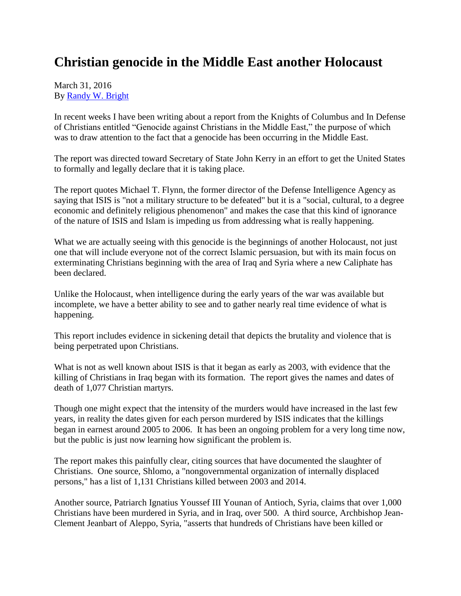## **Christian genocide in the Middle East another Holocaust**

## March 31, 2016 By [Randy W. Bright](http://www.tulsabeacon.com/author/slug-o6yd1v)

In recent weeks I have been writing about a report from the Knights of Columbus and In Defense of Christians entitled "Genocide against Christians in the Middle East," the purpose of which was to draw attention to the fact that a genocide has been occurring in the Middle East.

The report was directed toward Secretary of State John Kerry in an effort to get the United States to formally and legally declare that it is taking place.

The report quotes Michael T. Flynn, the former director of the Defense Intelligence Agency as saying that ISIS is "not a military structure to be defeated" but it is a "social, cultural, to a degree economic and definitely religious phenomenon" and makes the case that this kind of ignorance of the nature of ISIS and Islam is impeding us from addressing what is really happening.

What we are actually seeing with this genocide is the beginnings of another Holocaust, not just one that will include everyone not of the correct Islamic persuasion, but with its main focus on exterminating Christians beginning with the area of Iraq and Syria where a new Caliphate has been declared.

Unlike the Holocaust, when intelligence during the early years of the war was available but incomplete, we have a better ability to see and to gather nearly real time evidence of what is happening.

This report includes evidence in sickening detail that depicts the brutality and violence that is being perpetrated upon Christians.

What is not as well known about ISIS is that it began as early as 2003, with evidence that the killing of Christians in Iraq began with its formation. The report gives the names and dates of death of 1,077 Christian martyrs.

Though one might expect that the intensity of the murders would have increased in the last few years, in reality the dates given for each person murdered by ISIS indicates that the killings began in earnest around 2005 to 2006. It has been an ongoing problem for a very long time now, but the public is just now learning how significant the problem is.

The report makes this painfully clear, citing sources that have documented the slaughter of Christians. One source, Shlomo, a "nongovernmental organization of internally displaced persons," has a list of 1,131 Christians killed between 2003 and 2014.

Another source, Patriarch Ignatius Youssef III Younan of Antioch, Syria, claims that over 1,000 Christians have been murdered in Syria, and in Iraq, over 500. A third source, Archbishop Jean-Clement Jeanbart of Aleppo, Syria, "asserts that hundreds of Christians have been killed or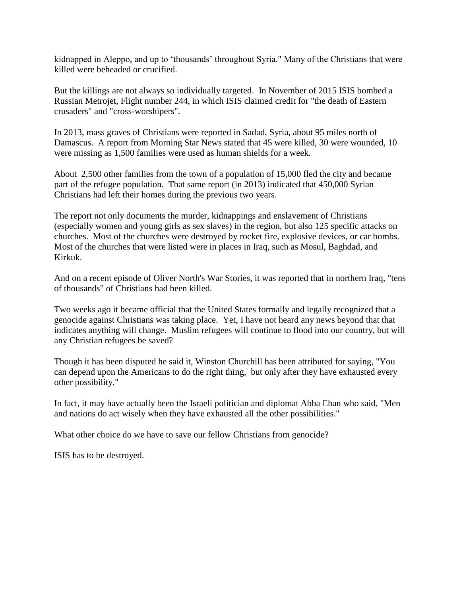kidnapped in Aleppo, and up to "thousands" throughout Syria." Many of the Christians that were killed were beheaded or crucified.

But the killings are not always so individually targeted. In November of 2015 ISIS bombed a Russian Metrojet, Flight number 244, in which ISIS claimed credit for "the death of Eastern crusaders" and "cross-worshipers".

In 2013, mass graves of Christians were reported in Sadad, Syria, about 95 miles north of Damascus. A report from Morning Star News stated that 45 were killed, 30 were wounded, 10 were missing as 1,500 families were used as human shields for a week.

About 2,500 other families from the town of a population of 15,000 fled the city and became part of the refugee population. That same report (in 2013) indicated that 450,000 Syrian Christians had left their homes during the previous two years.

The report not only documents the murder, kidnappings and enslavement of Christians (especially women and young girls as sex slaves) in the region, but also 125 specific attacks on churches. Most of the churches were destroyed by rocket fire, explosive devices, or car bombs. Most of the churches that were listed were in places in Iraq, such as Mosul, Baghdad, and Kirkuk.

And on a recent episode of Oliver North's War Stories, it was reported that in northern Iraq, "tens of thousands" of Christians had been killed.

Two weeks ago it became official that the United States formally and legally recognized that a genocide against Christians was taking place. Yet, I have not heard any news beyond that that indicates anything will change. Muslim refugees will continue to flood into our country, but will any Christian refugees be saved?

Though it has been disputed he said it, Winston Churchill has been attributed for saying, "You can depend upon the Americans to do the right thing, but only after they have exhausted every other possibility."

In fact, it may have actually been the Israeli politician and diplomat Abba Eban who said, "Men and nations do act wisely when they have exhausted all the other possibilities."

What other choice do we have to save our fellow Christians from genocide?

ISIS has to be destroyed.